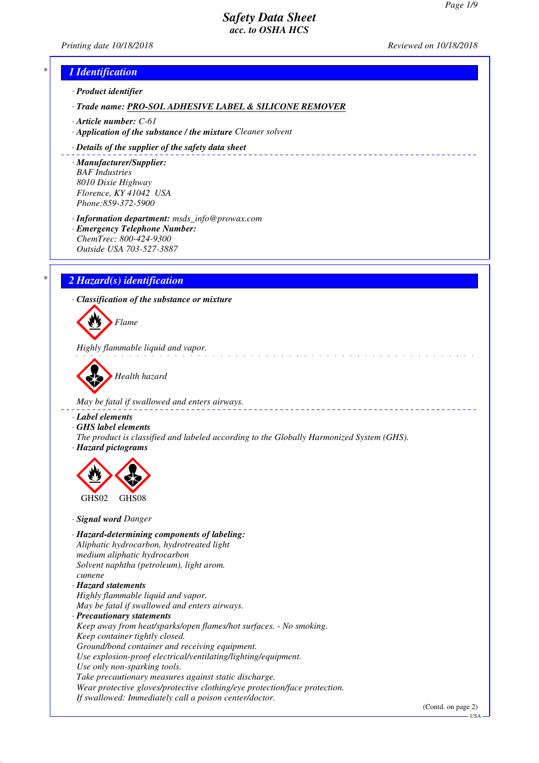*Printing date 10/18/2018 Reviewed on 10/18/2018*



USA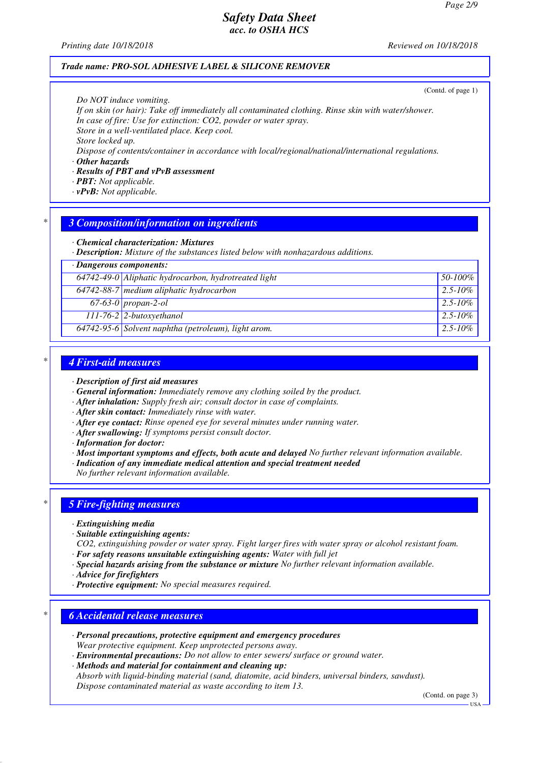*Printing date 10/18/2018 Reviewed on 10/18/2018*

### *Trade name: PRO-SOL ADHESIVE LABEL & SILICONE REMOVER*

(Contd. of page 1)

*Do NOT induce vomiting.*

*If on skin (or hair): Take off immediately all contaminated clothing. Rinse skin with water/shower. In case of fire: Use for extinction: CO2, powder or water spray.*

*Store in a well-ventilated place. Keep cool.*

*Store locked up.*

*Dispose of contents/container in accordance with local/regional/national/international regulations.*

*· Other hazards*

#### *· Results of PBT and vPvB assessment*

- *· PBT: Not applicable.*
- *· vPvB: Not applicable.*

## *\* 3 Composition/information on ingredients*

*· Chemical characterization: Mixtures*

*· Description: Mixture of the substances listed below with nonhazardous additions.*

| 64742-49-0 Aliphatic hydrocarbon, hydrotreated light<br>$50 - 100\%$<br>$64742-88-7$ medium aliphatic hydrocarbon<br>$2.5 - 10\%$<br>$67-63-0$ propan-2-ol<br>  $2.5 - 10\%$<br>$111-76-2$ 2-butoxyethanol<br>$2.5 - 10\%$<br>64742-95-6 Solvent naphtha (petroleum), light arom.<br>$2.5 - 10\%$ | · Dangerous components: |  |  |
|---------------------------------------------------------------------------------------------------------------------------------------------------------------------------------------------------------------------------------------------------------------------------------------------------|-------------------------|--|--|
|                                                                                                                                                                                                                                                                                                   |                         |  |  |
|                                                                                                                                                                                                                                                                                                   |                         |  |  |
|                                                                                                                                                                                                                                                                                                   |                         |  |  |
|                                                                                                                                                                                                                                                                                                   |                         |  |  |
|                                                                                                                                                                                                                                                                                                   |                         |  |  |

### *\* 4 First-aid measures*

- *· Description of first aid measures*
- *· General information: Immediately remove any clothing soiled by the product.*
- *· After inhalation: Supply fresh air; consult doctor in case of complaints.*
- *· After skin contact: Immediately rinse with water.*
- *· After eye contact: Rinse opened eye for several minutes under running water.*
- *· After swallowing: If symptoms persist consult doctor.*
- *· Information for doctor:*
- *· Most important symptoms and effects, both acute and delayed No further relevant information available.*
- *· Indication of any immediate medical attention and special treatment needed*
- *No further relevant information available.*

### *\* 5 Fire-fighting measures*

- *· Extinguishing media*
- *· Suitable extinguishing agents:*
- *CO2, extinguishing powder or water spray. Fight larger fires with water spray or alcohol resistant foam. · For safety reasons unsuitable extinguishing agents: Water with full jet*
- *· Special hazards arising from the substance or mixture No further relevant information available.*
- *· Advice for firefighters*
- *· Protective equipment: No special measures required.*

### *\* 6 Accidental release measures*

- *· Personal precautions, protective equipment and emergency procedures Wear protective equipment. Keep unprotected persons away.*
- *· Environmental precautions: Do not allow to enter sewers/ surface or ground water.*
- *· Methods and material for containment and cleaning up:*
- *Absorb with liquid-binding material (sand, diatomite, acid binders, universal binders, sawdust). Dispose contaminated material as waste according to item 13.*

(Contd. on page 3)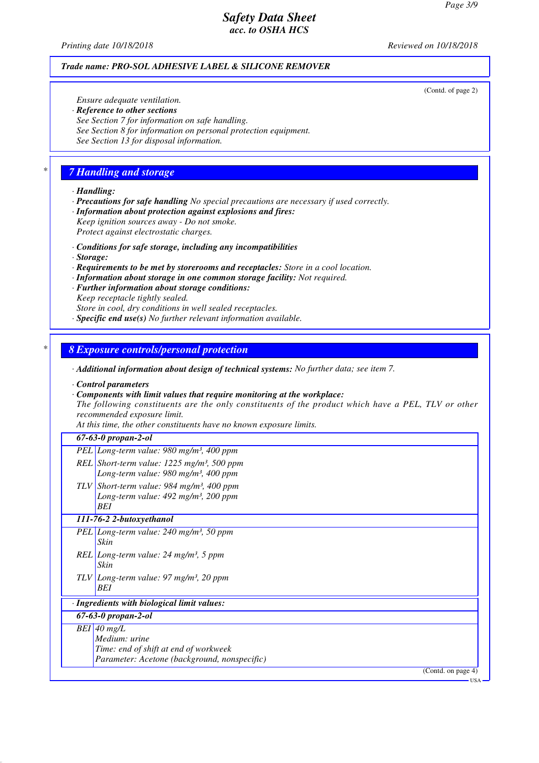*Printing date 10/18/2018 Reviewed on 10/18/2018*

#### *Trade name: PRO-SOL ADHESIVE LABEL & SILICONE REMOVER*

(Contd. of page 2)

*Ensure adequate ventilation. · Reference to other sections See Section 7 for information on safe handling. See Section 8 for information on personal protection equipment. See Section 13 for disposal information.*

## *\* 7 Handling and storage*

- *· Handling:*
- *· Precautions for safe handling No special precautions are necessary if used correctly.*
- *· Information about protection against explosions and fires: Keep ignition sources away - Do not smoke. Protect against electrostatic charges.*
- *· Conditions for safe storage, including any incompatibilities*
- *· Storage:*
- *· Requirements to be met by storerooms and receptacles: Store in a cool location.*
- *· Information about storage in one common storage facility: Not required.*
- *· Further information about storage conditions: Keep receptacle tightly sealed.*
- *Store in cool, dry conditions in well sealed receptacles.*
- *· Specific end use(s) No further relevant information available.*

#### *\* 8 Exposure controls/personal protection*

- *· Additional information about design of technical systems: No further data; see item 7.*
- *· Control parameters*
- *· Components with limit values that require monitoring at the workplace:*

*The following constituents are the only constituents of the product which have a PEL, TLV or other recommended exposure limit.*

*At this time, the other constituents have no known exposure limits.*

### *67-63-0 propan-2-ol*

- *PEL Long-term value: 980 mg/m³, 400 ppm REL Short-term value: 1225 mg/m³, 500 ppm*
- *Long-term value: 980 mg/m³, 400 ppm TLV Short-term value: 984 mg/m³, 400 ppm Long-term value: 492 mg/m³, 200 ppm BEI*

#### *111-76-2 2-butoxyethanol*

- *PEL Long-term value: 240 mg/m³, 50 ppm Skin*
- *REL Long-term value: 24 mg/m³, 5 ppm Skin*
- *TLV Long-term value: 97 mg/m³, 20 ppm BEI*

### *· Ingredients with biological limit values:*

*67-63-0 propan-2-ol*

- *BEI 40 mg/L*
	- *Medium: urine Time: end of shift at end of workweek Parameter: Acetone (background, nonspecific)*

(Contd. on page 4)

USA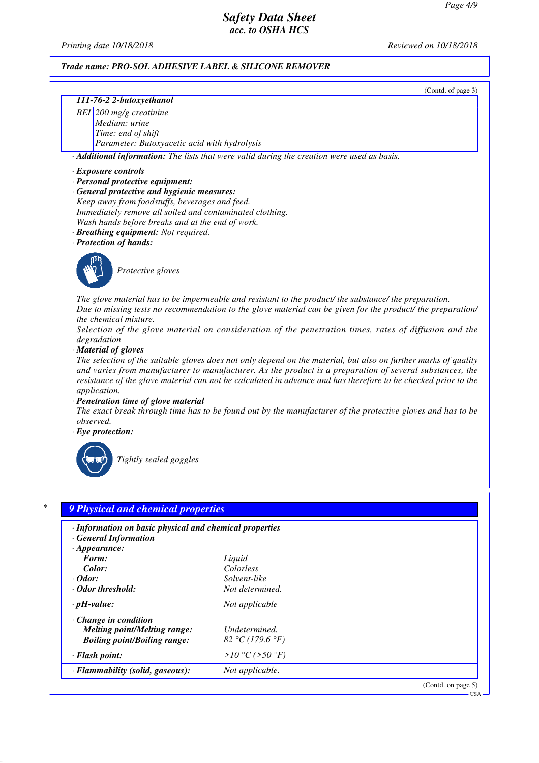*Printing date 10/18/2018 Reviewed on 10/18/2018*

(Contd. of page 3)

### *Trade name: PRO-SOL ADHESIVE LABEL & SILICONE REMOVER*

#### *111-76-2 2-butoxyethanol*

*BEI 200 mg/g creatinine Medium: urine Time: end of shift Parameter: Butoxyacetic acid with hydrolysis*

*· Additional information: The lists that were valid during the creation were used as basis.*

#### *· Exposure controls*

- *· Personal protective equipment:*
- *· General protective and hygienic measures:*
- *Keep away from foodstuffs, beverages and feed. Immediately remove all soiled and contaminated clothing. Wash hands before breaks and at the end of work.*
- *· Breathing equipment: Not required.*

*· Protection of hands:*



*Protective gloves*

*The glove material has to be impermeable and resistant to the product/ the substance/ the preparation. Due to missing tests no recommendation to the glove material can be given for the product/ the preparation/ the chemical mixture.*

*Selection of the glove material on consideration of the penetration times, rates of diffusion and the degradation*

*· Material of gloves*

*The selection of the suitable gloves does not only depend on the material, but also on further marks of quality and varies from manufacturer to manufacturer. As the product is a preparation of several substances, the resistance of the glove material can not be calculated in advance and has therefore to be checked prior to the application.*

*· Penetration time of glove material*

*The exact break through time has to be found out by the manufacturer of the protective gloves and has to be observed.*

*· Eye protection:*



*Tightly sealed goggles*

| · Information on basic physical and chemical properties<br>· General Information |                           |  |
|----------------------------------------------------------------------------------|---------------------------|--|
| $\cdot$ Appearance:                                                              |                           |  |
| Form:<br>Color:                                                                  | Liquid                    |  |
| $\cdot$ Odor:                                                                    | Colorless<br>Solvent-like |  |
| $\cdot$ Odor threshold:                                                          | Not determined.           |  |
| $\cdot$ pH-value:                                                                | Not applicable            |  |
| $\cdot$ Change in condition                                                      |                           |  |
| <b>Melting point/Melting range:</b>                                              | Undetermined.             |  |
| <b>Boiling point/Boiling range:</b>                                              | 82 °C (179.6 °F)          |  |
| · Flash point:                                                                   | >10 °C (> 50 °F)          |  |
| · Flammability (solid, gaseous):                                                 | Not applicable.           |  |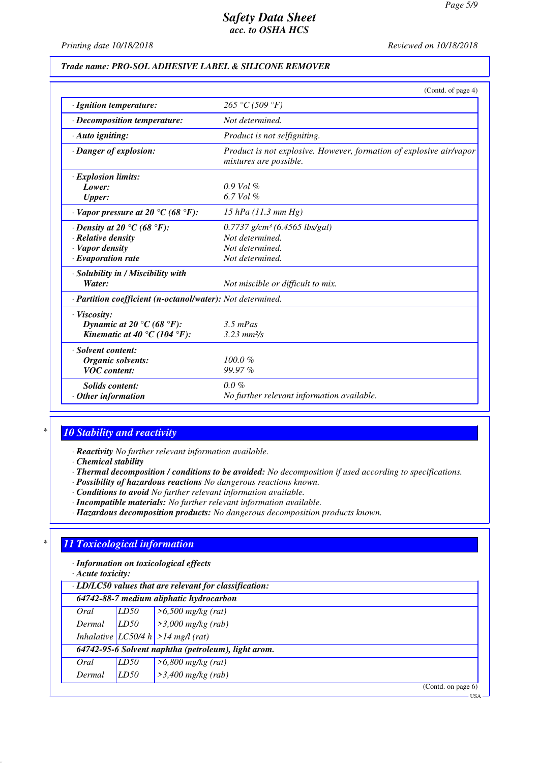USA

# *Safety Data Sheet acc. to OSHA HCS*

*Printing date 10/18/2018 Reviewed on 10/18/2018*

### *Trade name: PRO-SOL ADHESIVE LABEL & SILICONE REMOVER*

|                                                                       | (Contd. of page 4)                                                                            |
|-----------------------------------------------------------------------|-----------------------------------------------------------------------------------------------|
| · Ignition temperature:                                               | 265 °C (509 °F)                                                                               |
| $\cdot$ Decomposition temperature:                                    | Not determined.                                                                               |
| $\cdot$ Auto igniting:                                                | Product is not selfigniting.                                                                  |
| · Danger of explosion:                                                | Product is not explosive. However, formation of explosive air/vapor<br>mixtures are possible. |
| <b>Explosion limits:</b>                                              |                                                                                               |
| Lower:                                                                | $0.9$ Vol $\%$                                                                                |
| <b>Upper:</b>                                                         | 6.7 Vol $\%$                                                                                  |
| $\cdot$ Vapor pressure at 20 $\rm{^{\circ}C}$ (68 $\rm{^{\circ}F}$ ): | 15 hPa $(11.3 \text{ mm Hg})$                                                                 |
| $\cdot$ Density at 20 $\degree$ C (68 $\degree$ F):                   | $0.7737$ g/cm <sup>3</sup> (6.4565 lbs/gal)                                                   |
| · Relative density                                                    | Not determined.                                                                               |
| · Vapor density                                                       | Not determined.                                                                               |
| $\cdot$ Evaporation rate                                              | Not determined.                                                                               |
| · Solubility in / Miscibility with                                    |                                                                                               |
| Water:                                                                | Not miscible or difficult to mix.                                                             |
| · Partition coefficient (n-octanol/water): Not determined.            |                                                                                               |
| · Viscosity:                                                          |                                                                                               |
| Dynamic at 20 °C (68 °F):                                             | $3.5$ mPas                                                                                    |
| Kinematic at 40 °C (104 °F):                                          | $3.23 \, \text{mm}^2/\text{s}$                                                                |
| · Solvent content:                                                    |                                                                                               |
| Organic solvents:                                                     | $100.0 \%$                                                                                    |
| <b>VOC</b> content:                                                   | 99.97%                                                                                        |
| Solids content:                                                       | $0.0 \%$                                                                                      |
| $\cdot$ Other information                                             | No further relevant information available.                                                    |

# *\* 10 Stability and reactivity*

*· Reactivity No further relevant information available.*

*· Chemical stability*

- *· Thermal decomposition / conditions to be avoided: No decomposition if used according to specifications.*
- *· Possibility of hazardous reactions No dangerous reactions known.*
- *· Conditions to avoid No further relevant information available.*
- *· Incompatible materials: No further relevant information available.*
- *· Hazardous decomposition products: No dangerous decomposition products known.*

## *\* 11 Toxicological information*

*· Information on toxicological effects*

*· Acute toxicity:*

| $\cdot$ LD/LC50 values that are relevant for classification: |      |                                      |  |  |  |
|--------------------------------------------------------------|------|--------------------------------------|--|--|--|
| 64742-88-7 medium aliphatic hydrocarbon                      |      |                                      |  |  |  |
| Oral                                                         | LD50 | $> 6,500$ mg/kg (rat)                |  |  |  |
| Dermal                                                       | LD50 | $\frac{3,000 \text{ m} g}{kg}$ (rab) |  |  |  |
|                                                              |      | Inhalative LC50/4 h > 14 mg/l (rat)  |  |  |  |
| 64742-95-6 Solvent naphtha (petroleum), light arom.          |      |                                      |  |  |  |
| Oral                                                         | LD50 | $>6,800$ mg/kg (rat)                 |  |  |  |
| Dermal                                                       | LD50 | $>3,400$ mg/kg (rab)                 |  |  |  |
|                                                              |      | (Contd. on page $6$ )                |  |  |  |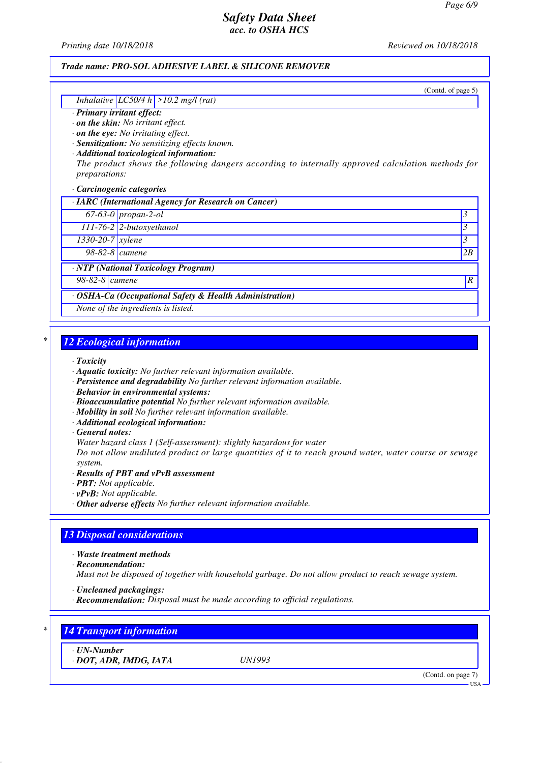*Printing date 10/18/2018 Reviewed on 10/18/2018*

### *Trade name: PRO-SOL ADHESIVE LABEL & SILICONE REMOVER*

(Contd. of page 5)

### *Inhalative LC50/4 h >10.2 mg/l (rat)*

#### *· Primary irritant effect:*

*· on the skin: No irritant effect.*

*· on the eye: No irritating effect.*

*· Sensitization: No sensitizing effects known.*

*· Additional toxicological information:*

*The product shows the following dangers according to internally approved calculation methods for preparations:*

*· Carcinogenic categories*

*· IARC (International Agency for Research on Cancer) 67-63-0 propan-2-ol 3* 

*111-76-2 2-butoxyethanol 3* 

*1330-20-7 xylene 3* 

*98-82-8 cumene 2B*

*· NTP (National Toxicology Program)*

*98-82-8 cumene R* 

#### *· OSHA-Ca (Occupational Safety & Health Administration)*

*None of the ingredients is listed.*

### *\* 12 Ecological information*

*· Toxicity*

- *· Aquatic toxicity: No further relevant information available.*
- *· Persistence and degradability No further relevant information available.*
- *· Behavior in environmental systems:*
- *· Bioaccumulative potential No further relevant information available.*
- *· Mobility in soil No further relevant information available.*
- *· Additional ecological information:*

#### *· General notes:*

*Water hazard class 1 (Self-assessment): slightly hazardous for water*

*Do not allow undiluted product or large quantities of it to reach ground water, water course or sewage system.*

- *· Results of PBT and vPvB assessment*
- *· PBT: Not applicable.*
- *· vPvB: Not applicable.*
- *· Other adverse effects No further relevant information available.*

### *13 Disposal considerations*

*· Waste treatment methods*

*· Recommendation:*

*Must not be disposed of together with household garbage. Do not allow product to reach sewage system.*

- *· Uncleaned packagings:*
- *· Recommendation: Disposal must be made according to official regulations.*

### *\* 14 Transport information*

*· UN-Number*

*· DOT, ADR, IMDG, IATA UN1993*

(Contd. on page 7)

USA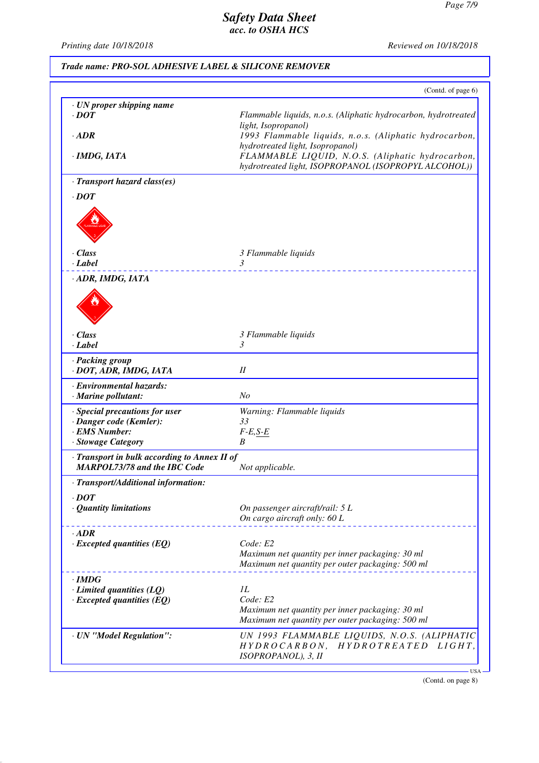*Printing date 10/18/2018 Reviewed on 10/18/2018*

|                                              | (Contd. of page 6)                                                                                  |
|----------------------------------------------|-----------------------------------------------------------------------------------------------------|
| · UN proper shipping name                    |                                                                                                     |
| $\cdot$ DOT                                  | Flammable liquids, n.o.s. (Aliphatic hydrocarbon, hydrotreated                                      |
|                                              | light, Isopropanol)                                                                                 |
| $\cdot$ ADR                                  | 1993 Flammable liquids, n.o.s. (Aliphatic hydrocarbon,                                              |
|                                              | hydrotreated light, Isopropanol)<br>FLAMMABLE LIQUID, N.O.S. (Aliphatic hydrocarbon,                |
| · IMDG, IATA                                 | hydrotreated light, ISOPROPANOL (ISOPROPYL ALCOHOL))                                                |
| · Transport hazard class(es)                 |                                                                                                     |
| $\cdot$ DOT                                  |                                                                                                     |
|                                              |                                                                                                     |
|                                              |                                                                                                     |
|                                              |                                                                                                     |
|                                              |                                                                                                     |
| · Class                                      | 3 Flammable liquids                                                                                 |
| · Label                                      | 3<br>___________________                                                                            |
| · ADR, IMDG, IATA                            |                                                                                                     |
|                                              |                                                                                                     |
|                                              |                                                                                                     |
|                                              |                                                                                                     |
|                                              |                                                                                                     |
| $\cdot$ Class                                | 3 Flammable liquids                                                                                 |
| · Label                                      | 3                                                                                                   |
| · Packing group                              |                                                                                                     |
| · DOT, ADR, IMDG, IATA                       | II                                                                                                  |
| · Environmental hazards:                     |                                                                                                     |
| · Marine pollutant:                          | N <sub>O</sub>                                                                                      |
| · Special precautions for user               | Warning: Flammable liquids                                                                          |
| · Danger code (Kemler):                      | 33                                                                                                  |
| · EMS Number:                                | $F-E, S-E$                                                                                          |
| · Stowage Category                           | B                                                                                                   |
| · Transport in bulk according to Annex II of |                                                                                                     |
| <b>MARPOL73/78 and the IBC Code</b>          | Not applicable.                                                                                     |
| · Transport/Additional information:          |                                                                                                     |
| $\cdot$ DOT                                  |                                                                                                     |
| · Quantity limitations                       | On passenger aircraft/rail: 5 L                                                                     |
|                                              | On cargo aircraft only: 60 L                                                                        |
| $\cdot$ ADR                                  |                                                                                                     |
| $\cdot$ Excepted quantities (EQ)             | Code: E2                                                                                            |
|                                              | Maximum net quantity per inner packaging: 30 ml                                                     |
|                                              | Maximum net quantity per outer packaging: 500 ml                                                    |
| $\cdot$ IMDG                                 |                                                                                                     |
| $\cdot$ Limited quantities (LQ)              | 1L                                                                                                  |
| $\cdot$ Excepted quantities (EQ)             | Code: E2                                                                                            |
|                                              | Maximum net quantity per inner packaging: 30 ml<br>Maximum net quantity per outer packaging: 500 ml |
|                                              |                                                                                                     |
| · UN "Model Regulation":                     | UN 1993 FLAMMABLE LIQUIDS, N.O.S. (ALIPHATIC<br>HYDROCARBON, HYDROTREATED LIGHT,                    |
|                                              |                                                                                                     |

(Contd. on page 8)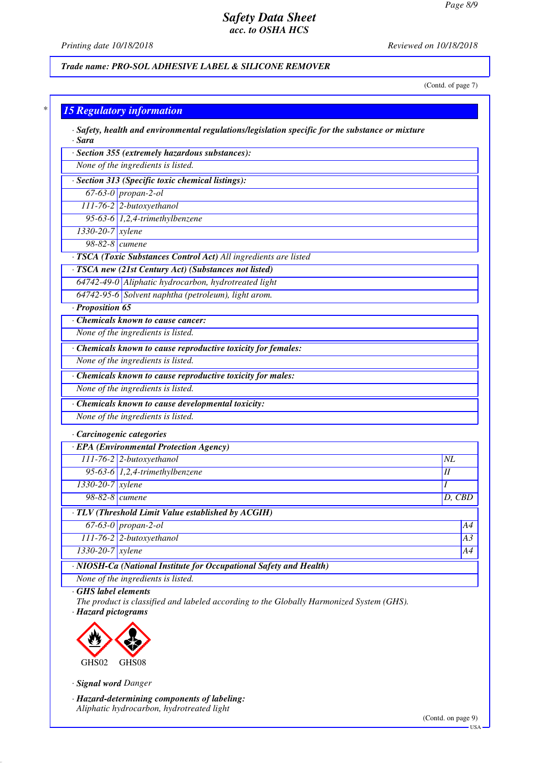*Printing date 10/18/2018 Reviewed on 10/18/2018*

*Trade name: PRO-SOL ADHESIVE LABEL & SILICONE REMOVER*

(Contd. of page 7)

| · Sara<br>· Section 355 (extremely hazardous substances):        |        |
|------------------------------------------------------------------|--------|
| None of the ingredients is listed.                               |        |
| · Section 313 (Specific toxic chemical listings):                |        |
| $67-63-0$ propan-2-ol                                            |        |
| 111-76-2 2-butoxyethanol                                         |        |
| 95-63-6 $1,2,4$ -trimethylbenzene                                |        |
| 1330-20-7 xylene                                                 |        |
| $98-82-8$ cumene                                                 |        |
| · TSCA (Toxic Substances Control Act) All ingredients are listed |        |
| · TSCA new (21st Century Act) (Substances not listed)            |        |
| 64742-49-0 Aliphatic hydrocarbon, hydrotreated light             |        |
| 64742-95-6 Solvent naphtha (petroleum), light arom.              |        |
| · Proposition 65                                                 |        |
| Chemicals known to cause cancer:                                 |        |
| None of the ingredients is listed.                               |        |
| · Chemicals known to cause reproductive toxicity for females:    |        |
| None of the ingredients is listed.                               |        |
| · Chemicals known to cause reproductive toxicity for males:      |        |
| None of the ingredients is listed.                               |        |
| · Chemicals known to cause developmental toxicity:               |        |
| None of the ingredients is listed.                               |        |
| · Carcinogenic categories                                        |        |
| · EPA (Environmental Protection Agency)                          |        |
| 111-76-2 2-butoxyethanol                                         | NL     |
| $95-63-6$ 1,2,4-trimethylbenzene                                 | $I\!I$ |
| 1330-20-7 xylene                                                 |        |
| $98-82-8$ cumene                                                 | D, CBD |
| · TLV (Threshold Limit Value established by ACGIH)               |        |
| $67-63-0$ propan-2-ol                                            |        |
| 111-76-2 2-butoxyethanol                                         |        |
| 1330-20-7 xylene                                                 |        |

*· GHS label elements*

*The product is classified and labeled according to the Globally Harmonized System (GHS). · Hazard pictograms*



*· Signal word Danger*

*· Hazard-determining components of labeling: Aliphatic hydrocarbon, hydrotreated light*

(Contd. on page 9) USA